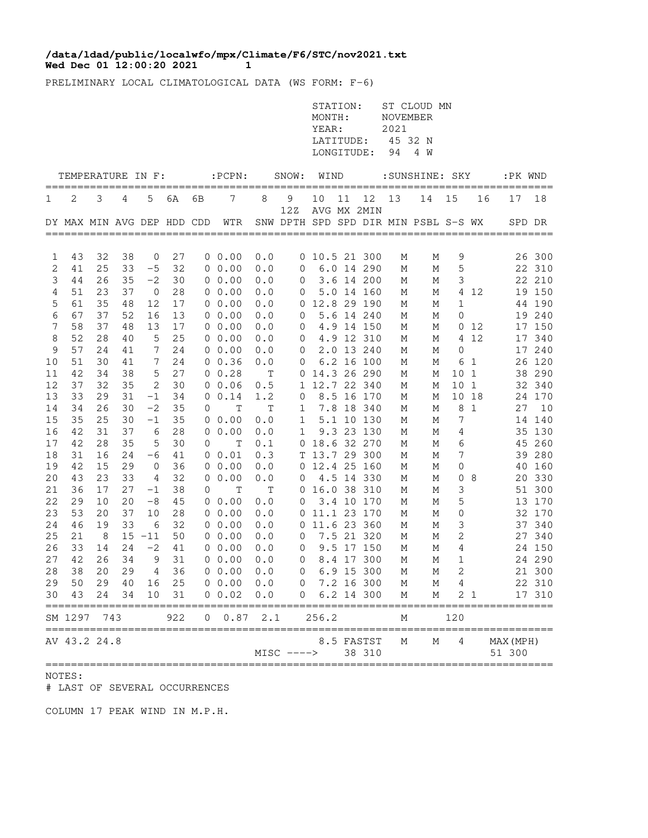## **Wed Dec 01 12:00:20 2021 1 /data/ldad/public/localwfo/mpx/Climate/F6/STC/nov2021.txt**

PRELIMINARY LOCAL CLIMATOLOGICAL DATA (WS FORM: F-6)

|            |                            |          |          |              |          |    |                       |             |               | STATION:<br>MONTH:<br>YEAR:<br>LATITUDE:<br>LONGITUDE: |    |                          | NOVEMBER<br>2021<br>94 | ST CLOUD MN<br>45 32 N<br>4 W        |                 |                |                     |                  |
|------------|----------------------------|----------|----------|--------------|----------|----|-----------------------|-------------|---------------|--------------------------------------------------------|----|--------------------------|------------------------|--------------------------------------|-----------------|----------------|---------------------|------------------|
|            | TEMPERATURE IN F:          |          |          |              |          |    | $:$ PCPN $:$          |             | SNOW:         | WIND                                                   |    |                          |                        | : SUNSHINE: SKY                      |                 |                | :PK WND             | $=$ $=$ $=$      |
| 1          | 2                          | 3        | 4        | 5            | 6A       | 6В | 7                     | 8           | 9             | 10                                                     | 11 | 12                       | 13                     | 14                                   | 15              | 16             | 17                  | 18               |
|            | DY MAX MIN AVG DEP HDD CDD |          |          |              |          |    | WTR                   |             | 12Z           |                                                        |    | AVG MX 2MIN              |                        | SNW DPTH SPD SPD DIR MIN PSBL S-S WX |                 |                | SPD DR              |                  |
| 1          | 43                         | 32       | 38       | $\mathbf 0$  | 27       |    | 0 0.00                | 0.0         |               | 0 10.5 21 300                                          |    |                          | М                      | М                                    | 9               |                |                     | 26 300           |
| 2          | 41                         | 25       | 33       | $-5$         | 32       |    | $0\;\;0.00$           | 0.0         | 0             |                                                        |    | 6.0 14 290               | М                      | М                                    | 5               |                |                     | 22 310           |
| 3          | 44                         | 26       | 35       | $-2$         | 30       |    | $0\;\;0.00$           | 0.0         | 0             |                                                        |    | 3.6 14 200               | М                      | М                                    | 3               |                |                     | 22 210           |
| 4          | 51                         | 23       | 37       | 0            | 28       |    | 00.00                 | 0.0         | 0             |                                                        |    | 5.0 14 160               | М                      | М                                    | 4               | 12             |                     | 19 150           |
| 5          | 61                         | 35       | 48       | 12           | 17       |    | 00.00                 | 0.0         |               | 0 12.8 29 190                                          |    |                          | М                      | М                                    | $\mathbf{1}$    |                |                     | 44 190           |
| 6          | 67                         | 37       | 52       | 16           | 13       |    | 00.00                 | 0.0         | 0             |                                                        |    | 5.6 14 240               | М                      | М                                    | 0               |                |                     | 19 240           |
| 7          | 58                         | 37       | 48       | 13           | 17       |    | 00.00                 | 0.0         | 0             |                                                        |    | 4.9 14 150               | М                      | М                                    |                 | 0 12           |                     | 17 150           |
| 8<br>9     | 52<br>57                   | 28<br>24 | 40<br>41 | 5<br>7       | 25<br>24 |    | $0\;\;0.00$<br>00.00  | 0.0<br>0.0  | 0<br>0        |                                                        |    | 4.9 12 310<br>2.0 13 240 | М<br>М                 | М<br>М                               | 0               | 4 12           |                     | 17 340<br>17 240 |
| 10         | 51                         | 30       | 41       | 7            | 24       |    | 0 0.36                | 0.0         | 0             |                                                        |    | 6.2 16 100               | М                      | Μ                                    | 6               | 1              |                     | 26 120           |
| 11         | 42                         | 34       | 38       | 5            | 27       |    | 0 0.28                | $\mathbb T$ |               | 0 14.3 26 290                                          |    |                          | М                      | М                                    | 10              | 1              |                     | 38 290           |
| 12         | 37                         | 32       | 35       | $\mathbf{2}$ | 30       |    | 0, 0.06               | 0.5         |               | 1 12.7 22 340                                          |    |                          | М                      | М                                    | 10              | $\mathbf{1}$   |                     | 32 340           |
| 13         | 33                         | 29       | 31       | $-1$         | 34       | 0  | 0.14                  | 1.2         | 0             |                                                        |    | 8.5 16 170               | М                      | М                                    |                 | 10 18          |                     | 24 170           |
| 14         | 34                         | 26       | 30       | $-2$         | 35       | 0  | $\mathbb T$           | $\mathbb T$ | 1             |                                                        |    | 7.8 18 340               | М                      | М                                    | 8               | 1              | 27                  | 10               |
| 15         | 35                         | 25       | 30       | $-1$         | 35       |    | 0 0.00                | 0.0         | 1             |                                                        |    | 5.1 10 130               | М                      | М                                    | 7               |                |                     | 14 140           |
| 16         | 42                         | 31       | 37       | 6            | 28       |    | 0 0.00                | 0.0         | 1             |                                                        |    | 9.3 23 130               | М                      | М                                    | 4               |                |                     | 35 130           |
| $17$<br>18 | 42<br>31                   | 28<br>16 | 35<br>24 | 5<br>$-6$    | 30<br>41 | 0  | $\mathbf T$<br>0 0.01 | 0.1<br>0.3  |               | 0 18.6 32 270<br>T 13.7 29 300                         |    |                          | М<br>М                 | М<br>М                               | 6<br>7          |                | 45                  | 260<br>39 280    |
| 19         | 42                         | 15       | 29       | 0            | 36       |    | 00.00                 | 0.0         |               | 0 12.4 25 160                                          |    |                          | М                      | М                                    | 0               |                | 40                  | 160              |
| 20         | 43                         | 23       | 33       | 4            | 32       |    | 00.00                 | 0.0         | 0             |                                                        |    | 4.5 14 330               | М                      | М                                    | 0               | 8              |                     | 20 330           |
| 21         | 36                         | 17       | 27       | $^{-1}$      | 38       | 0  | Т                     | Т           | 0             | 16.0 38 310                                            |    |                          | М                      | М                                    | 3               |                |                     | 51 300           |
| 22         | 29                         | 10       | 20       | $-8$         | 45       |    | 00.00                 | 0.0         | 0             |                                                        |    | 3.4 10 170               | М                      | М                                    | 5               |                |                     | 13 170           |
| 23         | 53                         | 20       | 37       | 10           | 28       |    | 00.00                 | 0.0         | 0             | 11.1 23 170                                            |    |                          | М                      | М                                    | 0               |                |                     | 32 170           |
| 24         | 46                         | 19       | 33       | $6\,$        | 32       |    | 00.00                 | 0.0         | 0             |                                                        |    | 11.6 23 360              | М                      | М                                    | 3               |                |                     | 37 340           |
| 25         | 21                         | 8        |          | $15 - 11$    | 50       |    | 00.00                 | 0.0         | $\mathbf 0$   |                                                        |    | 7.5 21 320               | М                      | М                                    | 2               |                | 27                  | 340              |
| 26         | 33<br>42                   | 14       | 24       | $-2$         | 41       |    | 00.00                 | 0.0         | 0             |                                                        |    | 9.5 17 150               | М                      | М                                    | 4               |                |                     | 24 150           |
| 27<br>28   | 38                         | 26<br>20 | 34<br>29 | 9<br>4       | 31<br>36 |    | 00.00<br>00.00        | 0.0<br>0.0  | 0<br>$\Omega$ |                                                        |    | 8.4 17 300<br>6.9 15 300 | М<br>М                 | М<br>М                               | 1<br>2          |                |                     | 24 290<br>21 300 |
|            | 29 50                      |          | 29 40    | 16           | 25       |    | 0 0.00 0.0            |             |               | $0 \t 7.2 \t 16 \t 300$                                |    |                          | М                      | M                                    | $4\overline{ }$ |                |                     | 22 310           |
| 30         | 43                         | 24       | 34       | 10           | 31       |    | $0\;\;0.02$           | 0.0         | 0             |                                                        |    | 6.2 14 300               | М                      | М                                    |                 | 2 <sub>1</sub> |                     | 17 310           |
|            | SM 1297                    | 743      |          |              | 922      | 0  | 0.87                  | 2.1         |               | 256.2                                                  |    |                          | М                      |                                      | 120             |                |                     |                  |
|            | AV 43.2 24.8               |          |          |              |          |    |                       |             | $MISC$ ---->  |                                                        |    | 8.5 FASTST<br>38 310     | Μ                      | Μ                                    | 4               |                | MAX (MPH)<br>51 300 |                  |

NOTES:

# LAST OF SEVERAL OCCURRENCES

COLUMN 17 PEAK WIND IN M.P.H.